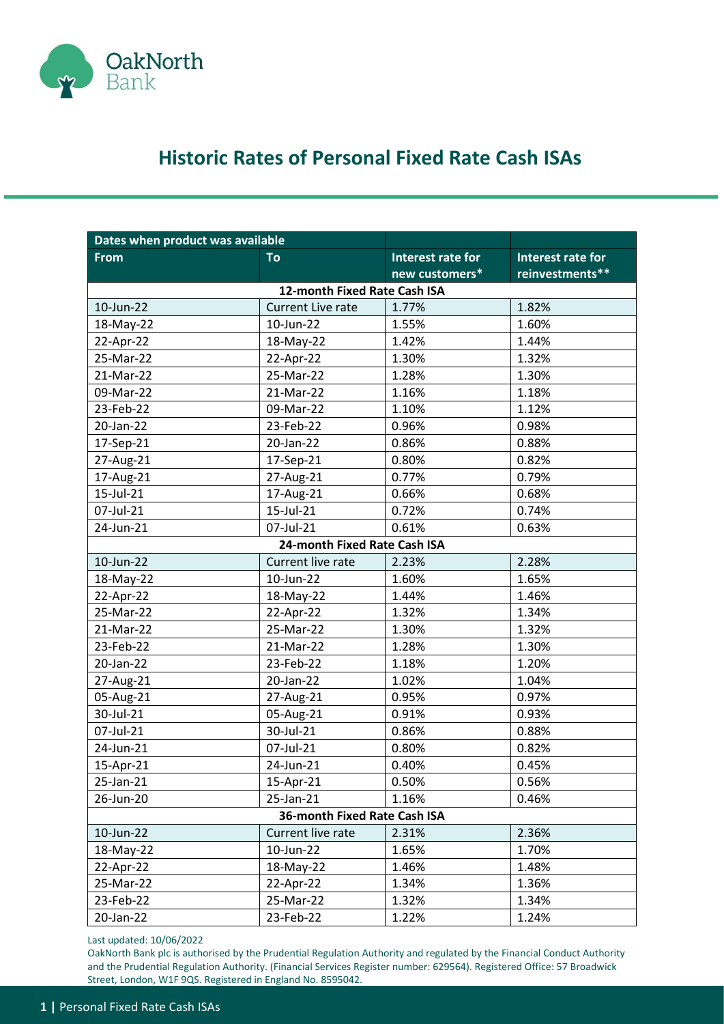

## **Historic Rates of Personal Fixed Rate Cash ISAs**

| Dates when product was available |                          |                   |                          |  |
|----------------------------------|--------------------------|-------------------|--------------------------|--|
| <b>From</b>                      | To                       | Interest rate for | <b>Interest rate for</b> |  |
|                                  |                          | new customers*    | reinvestments**          |  |
| 12-month Fixed Rate Cash ISA     |                          |                   |                          |  |
| 10-Jun-22                        | <b>Current Live rate</b> | 1.77%             | 1.82%                    |  |
| 18-May-22                        | 10-Jun-22                | 1.55%             | 1.60%                    |  |
| 22-Apr-22                        | 18-May-22                | 1.42%             | 1.44%                    |  |
| 25-Mar-22                        | 22-Apr-22                | 1.30%             | 1.32%                    |  |
| 21-Mar-22                        | 25-Mar-22                | 1.28%             | 1.30%                    |  |
| 09-Mar-22                        | 21-Mar-22                | 1.16%             | 1.18%                    |  |
| 23-Feb-22                        | 09-Mar-22                | 1.10%             | 1.12%                    |  |
| 20-Jan-22                        | 23-Feb-22                | 0.96%             | 0.98%                    |  |
| 17-Sep-21                        | 20-Jan-22                | 0.86%             | 0.88%                    |  |
| 27-Aug-21                        | 17-Sep-21                | 0.80%             | 0.82%                    |  |
| 17-Aug-21                        | 27-Aug-21                | 0.77%             | 0.79%                    |  |
| 15-Jul-21                        | 17-Aug-21                | 0.66%             | 0.68%                    |  |
| 07-Jul-21                        | 15-Jul-21                | 0.72%             | 0.74%                    |  |
| 24-Jun-21                        | 07-Jul-21                | 0.61%             | 0.63%                    |  |
| 24-month Fixed Rate Cash ISA     |                          |                   |                          |  |
| 10-Jun-22                        | Current live rate        | 2.23%             | 2.28%                    |  |
| 18-May-22                        | 10-Jun-22                | 1.60%             | 1.65%                    |  |
| 22-Apr-22                        | 18-May-22                | 1.44%             | 1.46%                    |  |
| 25-Mar-22                        | 22-Apr-22                | 1.32%             | 1.34%                    |  |
| 21-Mar-22                        | 25-Mar-22                | 1.30%             | 1.32%                    |  |
| 23-Feb-22                        | 21-Mar-22                | 1.28%             | 1.30%                    |  |
| 20-Jan-22                        | 23-Feb-22                | 1.18%             | 1.20%                    |  |
| 27-Aug-21                        | 20-Jan-22                | 1.02%             | 1.04%                    |  |
| 05-Aug-21                        | 27-Aug-21                | 0.95%             | 0.97%                    |  |
| 30-Jul-21                        | 05-Aug-21                | 0.91%             | 0.93%                    |  |
| 07-Jul-21                        | 30-Jul-21                | 0.86%             | 0.88%                    |  |
| 24-Jun-21                        | 07-Jul-21                | 0.80%             | 0.82%                    |  |
| 15-Apr-21                        | 24-Jun-21                | 0.40%             | 0.45%                    |  |
| 25-Jan-21                        | 15-Apr-21                | 0.50%             | 0.56%                    |  |
| 26-Jun-20                        | 25-Jan-21                | 1.16%             | 0.46%                    |  |
| 36-month Fixed Rate Cash ISA     |                          |                   |                          |  |
| 10-Jun-22                        | Current live rate        | 2.31%             | 2.36%                    |  |
| 18-May-22                        | 10-Jun-22                | 1.65%             | 1.70%                    |  |
| 22-Apr-22                        | 18-May-22                | 1.46%             | 1.48%                    |  |
| 25-Mar-22                        | 22-Apr-22                | 1.34%             | 1.36%                    |  |
| 23-Feb-22                        | 25-Mar-22                | 1.32%             | 1.34%                    |  |
| 20-Jan-22                        | 23-Feb-22                | 1.22%             | 1.24%                    |  |

Last updated: 10/06/2022

OakNorth Bank plc is authorised by the Prudential Regulation Authority and regulated by the Financial Conduct Authority and the Prudential Regulation Authority. (Financial Services Register number: 629564). Registered Office: 57 Broadwick Street, London, W1F 9QS. Registered in England No. 8595042.